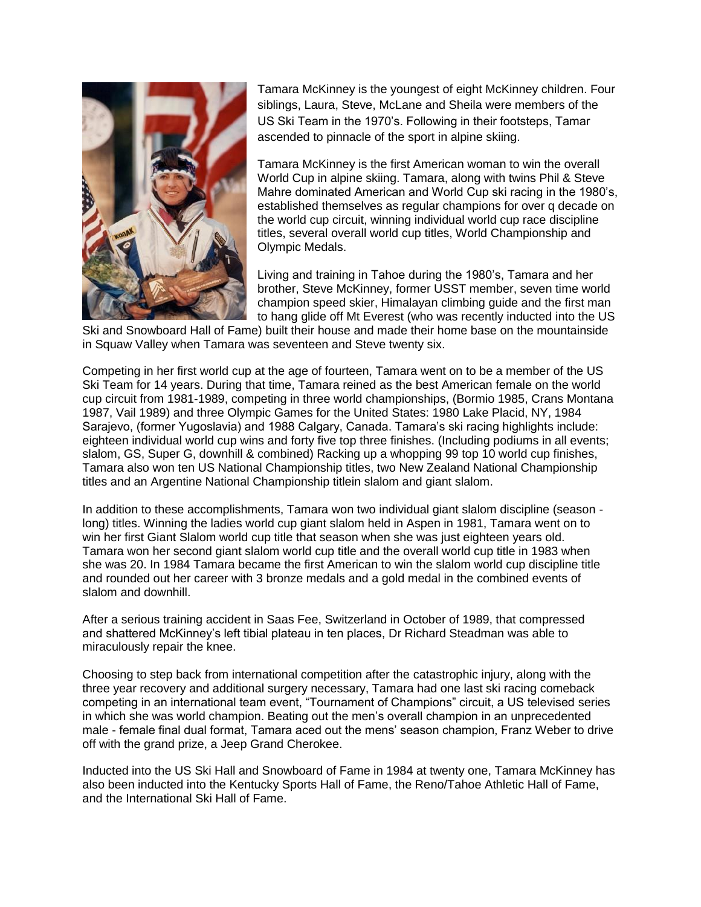

Tamara McKinney is the youngest of eight McKinney children. Four siblings, Laura, Steve, McLane and Sheila were members of the US Ski Team in the 1970's. Following in their footsteps, Tamar ascended to pinnacle of the sport in alpine skiing.

Tamara McKinney is the first American woman to win the overall World Cup in alpine skiing. Tamara, along with twins Phil & Steve Mahre dominated American and World Cup ski racing in the 1980's, established themselves as regular champions for over q decade on the world cup circuit, winning individual world cup race discipline titles, several overall world cup titles, World Championship and Olympic Medals.

Living and training in Tahoe during the 1980's, Tamara and her brother, Steve McKinney, former USST member, seven time world champion speed skier, Himalayan climbing guide and the first man to hang glide off Mt Everest (who was recently inducted into the US

Ski and Snowboard Hall of Fame) built their house and made their home base on the mountainside in Squaw Valley when Tamara was seventeen and Steve twenty six.

Competing in her first world cup at the age of fourteen, Tamara went on to be a member of the US Ski Team for 14 years. During that time, Tamara reined as the best American female on the world cup circuit from 1981-1989, competing in three world championships, (Bormio 1985, Crans Montana 1987, Vail 1989) and three Olympic Games for the United States: 1980 Lake Placid, NY, 1984 Sarajevo, (former Yugoslavia) and 1988 Calgary, Canada. Tamara's ski racing highlights include: eighteen individual world cup wins and forty five top three finishes. (Including podiums in all events; slalom, GS, Super G, downhill & combined) Racking up a whopping 99 top 10 world cup finishes, Tamara also won ten US National Championship titles, two New Zealand National Championship titles and an Argentine National Championship titlein slalom and giant slalom.

In addition to these accomplishments, Tamara won two individual giant slalom discipline (season long) titles. Winning the ladies world cup giant slalom held in Aspen in 1981, Tamara went on to win her first Giant Slalom world cup title that season when she was just eighteen years old. Tamara won her second giant slalom world cup title and the overall world cup title in 1983 when she was 20. In 1984 Tamara became the first American to win the slalom world cup discipline title and rounded out her career with 3 bronze medals and a gold medal in the combined events of slalom and downhill.

After a serious training accident in Saas Fee, Switzerland in October of 1989, that compressed and shattered McKinney's left tibial plateau in ten places, Dr Richard Steadman was able to miraculously repair the knee.

Choosing to step back from international competition after the catastrophic injury, along with the three year recovery and additional surgery necessary, Tamara had one last ski racing comeback competing in an international team event, "Tournament of Champions" circuit, a US televised series in which she was world champion. Beating out the men's overall champion in an unprecedented male - female final dual format, Tamara aced out the mens' season champion, Franz Weber to drive off with the grand prize, a Jeep Grand Cherokee.

Inducted into the US Ski Hall and Snowboard of Fame in 1984 at twenty one, Tamara McKinney has also been inducted into the Kentucky Sports Hall of Fame, the Reno/Tahoe Athletic Hall of Fame, and the International Ski Hall of Fame.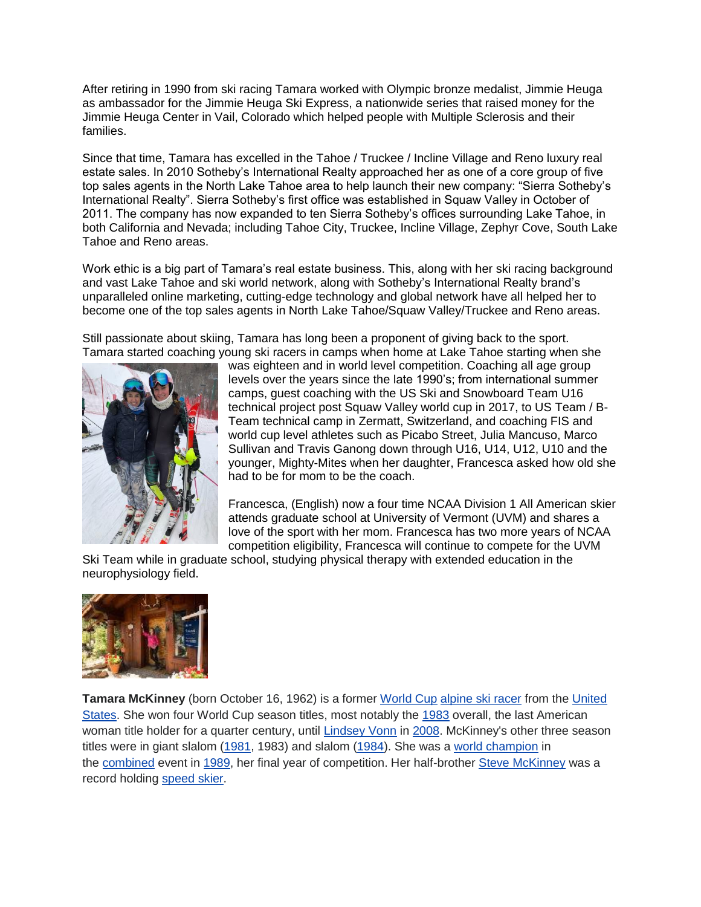After retiring in 1990 from ski racing Tamara worked with Olympic bronze medalist, Jimmie Heuga as ambassador for the Jimmie Heuga Ski Express, a nationwide series that raised money for the Jimmie Heuga Center in Vail, Colorado which helped people with Multiple Sclerosis and their families.

Since that time, Tamara has excelled in the Tahoe / Truckee / Incline Village and Reno luxury real estate sales. In 2010 Sotheby's International Realty approached her as one of a core group of five top sales agents in the North Lake Tahoe area to help launch their new company: "Sierra Sotheby's International Realty". Sierra Sotheby's first office was established in Squaw Valley in October of 2011. The company has now expanded to ten Sierra Sotheby's offices surrounding Lake Tahoe, in both California and Nevada; including Tahoe City, Truckee, Incline Village, Zephyr Cove, South Lake Tahoe and Reno areas.

Work ethic is a big part of Tamara's real estate business. This, along with her ski racing background and vast Lake Tahoe and ski world network, along with Sotheby's International Realty brand's unparalleled online marketing, cutting-edge technology and global network have all helped her to become one of the top sales agents in North Lake Tahoe/Squaw Valley/Truckee and Reno areas.

Still passionate about skiing, Tamara has long been a proponent of giving back to the sport. Tamara started coaching young ski racers in camps when home at Lake Tahoe starting when she



was eighteen and in world level competition. Coaching all age group levels over the years since the late 1990's; from international summer camps, guest coaching with the US Ski and Snowboard Team U16 technical project post Squaw Valley world cup in 2017, to US Team / B-Team technical camp in Zermatt, Switzerland, and coaching FIS and world cup level athletes such as Picabo Street, Julia Mancuso, Marco Sullivan and Travis Ganong down through U16, U14, U12, U10 and the younger, Mighty-Mites when her daughter, Francesca asked how old she had to be for mom to be the coach.

Francesca, (English) now a four time NCAA Division 1 All American skier attends graduate school at University of Vermont (UVM) and shares a love of the sport with her mom. Francesca has two more years of NCAA competition eligibility, Francesca will continue to compete for the UVM

Ski Team while in graduate school, studying physical therapy with extended education in the neurophysiology field.



Tamara McKinney (born October 16, 1962) is a former [World Cup](https://en.wikipedia.org/wiki/FIS_Alpine_Ski_World_Cup) [alpine ski racer](https://en.wikipedia.org/wiki/Alpine_skiing) from the United [States.](https://en.wikipedia.org/wiki/United_States_Ski_Team) She won four World Cup season titles, most notably the [1983](https://en.wikipedia.org/wiki/1982%E2%80%9383_FIS_Alpine_Ski_World_Cup) overall, the last American woman title holder for a quarter century, until [Lindsey Vonn](https://en.wikipedia.org/wiki/Lindsey_Vonn) in [2008.](https://en.wikipedia.org/wiki/2007%E2%80%9308_FIS_Alpine_Ski_World_Cup) McKinney's other three season titles were in giant slalom [\(1981,](https://en.wikipedia.org/wiki/1980%E2%80%9381_FIS_Alpine_Ski_World_Cup) 1983) and slalom [\(1984\)](https://en.wikipedia.org/wiki/1984_Alpine_Skiing_World_Cup). She was a [world champion](https://en.wikipedia.org/wiki/FIS_Alpine_World_Ski_Championships) in the [combined](https://en.wikipedia.org/wiki/Alpine_skiing_combined) event in [1989,](https://en.wikipedia.org/wiki/FIS_Alpine_World_Ski_Championships_1989) her final year of competition. Her half-brother [Steve McKinney](https://en.wikipedia.org/wiki/Steve_McKinney_(skier)) was a record holding [speed skier.](https://en.wikipedia.org/wiki/Speed_skier)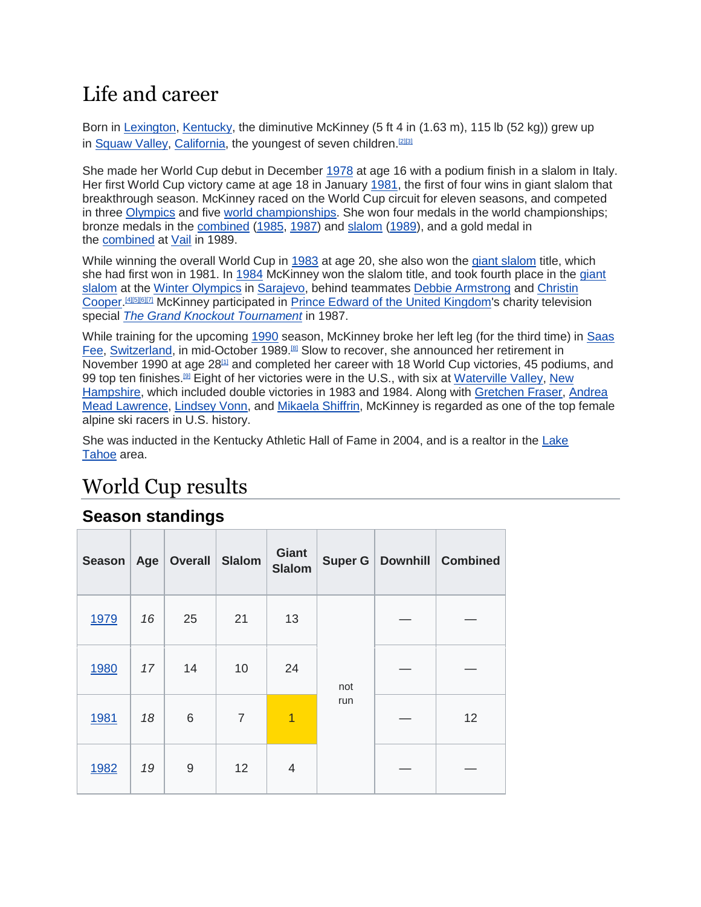### Life and career

Born in [Lexington,](https://en.wikipedia.org/wiki/Lexington,_Kentucky) [Kentucky,](https://en.wikipedia.org/wiki/Kentucky) the diminutive McKinney (5 ft 4 in (1.63 m), 115 lb (52 kg)) grew up in [Squaw Valley,](https://en.wikipedia.org/wiki/Squaw_Valley,_Placer_County,_California) [California,](https://en.wikipedia.org/wiki/California) the youngest of seven children.<sup>[\[2\]\[3\]](https://en.wikipedia.org/wiki/Tamara_McKinney#cite_note-tohspth-2)</sup>

She made her World Cup debut in December [1978](https://en.wikipedia.org/wiki/1978%E2%80%9379_FIS_Alpine_Ski_World_Cup) at age 16 with a podium finish in a slalom in Italy. Her first World Cup victory came at age 18 in January [1981,](https://en.wikipedia.org/wiki/1980%E2%80%9381_FIS_Alpine_Ski_World_Cup) the first of four wins in giant slalom that breakthrough season. McKinney raced on the World Cup circuit for eleven seasons, and competed in three [Olympics](https://en.wikipedia.org/wiki/Alpine_skiing_at_the_Winter_Olympics) and five [world championships.](https://en.wikipedia.org/wiki/FIS_Alpine_World_Ski_Championships) She won four medals in the world championships; bronze medals in the [combined](https://en.wikipedia.org/wiki/Alpine_skiing_combined) [\(1985,](https://en.wikipedia.org/wiki/FIS_Alpine_World_Ski_Championships_1985) [1987\)](https://en.wikipedia.org/wiki/FIS_Alpine_World_Ski_Championships_1987) and [slalom](https://en.wikipedia.org/wiki/Slalom_skiing) [\(1989\)](https://en.wikipedia.org/wiki/FIS_Alpine_World_Ski_Championships_1989), and a gold medal in the [combined](https://en.wikipedia.org/wiki/Alpine_skiing_combined) at [Vail](https://en.wikipedia.org/wiki/Vail_Ski_Resort) in 1989.

While winning the overall World Cup in [1983](https://en.wikipedia.org/wiki/1982%E2%80%9383_FIS_Alpine_Ski_World_Cup) at age 20, she also won the [giant slalom](https://en.wikipedia.org/wiki/Giant_slalom) title, which she had first won in 1981. In [1984](https://en.wikipedia.org/wiki/1983%E2%80%9384_FIS_Alpine_Ski_World_Cup) McKinney won the slalom title, and took fourth place in the [giant](https://en.wikipedia.org/wiki/Alpine_skiing_at_the_1984_Winter_Olympics_%E2%80%93_Women%27s_giant_slalom)  [slalom](https://en.wikipedia.org/wiki/Alpine_skiing_at_the_1984_Winter_Olympics_%E2%80%93_Women%27s_giant_slalom) at the [Winter Olympics](https://en.wikipedia.org/wiki/Alpine_skiing_at_the_1984_Winter_Olympics) in [Sarajevo,](https://en.wikipedia.org/wiki/Sarajevo) behind teammates [Debbie Armstrong](https://en.wikipedia.org/wiki/Debbie_Armstrong) and [Christin](https://en.wikipedia.org/wiki/Christin_Cooper)  [Cooper.](https://en.wikipedia.org/wiki/Christin_Cooper)<sup>[\[4\]\[5\]\[](https://en.wikipedia.org/wiki/Tamara_McKinney#cite_note-amdisc-4)[6\]\[7\]](https://en.wikipedia.org/wiki/Tamara_McKinney#cite_note-amchhr-6)</sup> McKinney participated in [Prince Edward of the United Kingdom'](https://en.wikipedia.org/wiki/Prince_Edward,_Earl_of_Wessex)s charity television special *[The Grand Knockout Tournament](https://en.wikipedia.org/wiki/The_Grand_Knockout_Tournament)* in 1987.

While training for the upcoming [1990](https://en.wikipedia.org/wiki/1989%E2%80%9390_FIS_Alpine_Ski_World_Cup) season, McKinney broke her left leg (for the third time) in [Saas](https://en.wikipedia.org/wiki/Saas_Fee)  [Fee,](https://en.wikipedia.org/wiki/Saas_Fee) [Switzerland,](https://en.wikipedia.org/wiki/Switzerland) in mid-October 1989.<sup>[\[8\]](https://en.wikipedia.org/wiki/Tamara_McKinney#cite_note-tmkblmmwc-8)</sup> Slow to recover, she announced her retirement in November 1990 at age  $28<sup>[1]</sup>$  $28<sup>[1]</sup>$  $28<sup>[1]</sup>$  and completed her career with 18 World Cup victories, 45 podiums, and 99 top ten finishes.<sup>[\[9\]](https://en.wikipedia.org/wiki/Tamara_McKinney#cite_note-9)</sup> Eight of her victories were in the U.S., with six at [Waterville Valley,](https://en.wikipedia.org/wiki/Waterville_Valley_Resort) New [Hampshire,](https://en.wikipedia.org/wiki/New_Hampshire) which included double victories in 1983 and 1984. Along with [Gretchen Fraser,](https://en.wikipedia.org/wiki/Gretchen_Fraser) [Andrea](https://en.wikipedia.org/wiki/Andrea_Mead_Lawrence)  [Mead Lawrence,](https://en.wikipedia.org/wiki/Andrea_Mead_Lawrence) [Lindsey Vonn,](https://en.wikipedia.org/wiki/Lindsey_Vonn) and [Mikaela Shiffrin,](https://en.wikipedia.org/wiki/Mikaela_Shiffrin) McKinney is regarded as one of the top female alpine ski racers in U.S. history.

She was inducted in the Kentucky Athletic Hall of Fame in 2004, and is a realtor in the [Lake](https://en.wikipedia.org/wiki/Lake_Tahoe)  [Tahoe](https://en.wikipedia.org/wiki/Lake_Tahoe) area.

## World Cup results

#### **Season standings**

| <b>Season</b> | Age | Overall Slalom |                | <b>Giant</b><br><b>Slalom</b> |            | Super G   Downhill   Combined |
|---------------|-----|----------------|----------------|-------------------------------|------------|-------------------------------|
| 1979          | 16  | 25             | 21             | 13                            | not<br>run |                               |
| 1980          | 17  | 14             | 10             | 24                            |            |                               |
| 1981          | 18  | 6              | $\overline{7}$ | $\overline{1}$                |            | 12                            |
| 1982          | 19  | 9              | 12             | 4                             |            |                               |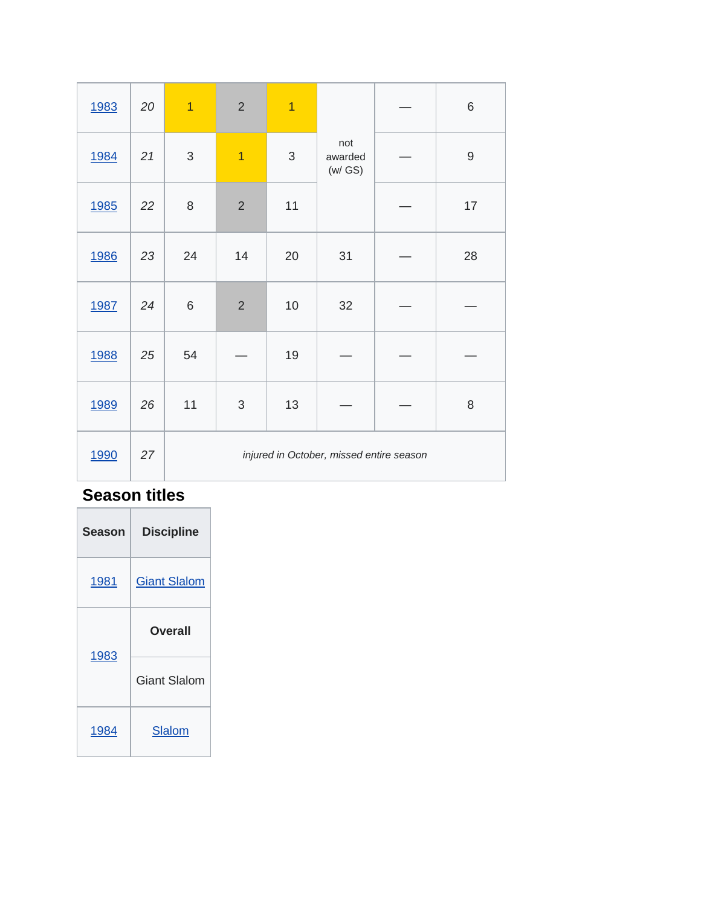| 1983        | 20 | $\overline{1}$ | $\overline{2}$ | $\overline{1}$ |                                          | $\,$ 6 $\,$ |
|-------------|----|----------------|----------------|----------------|------------------------------------------|-------------|
| <u>1984</u> | 21 | $\sqrt{3}$     | $\overline{1}$ | $\sqrt{3}$     | not<br>awarded<br>(w/GS)                 | $\mathsf g$ |
| <u>1985</u> | 22 | $\,8\,$        | $\overline{2}$ | 11             |                                          | 17          |
| <u>1986</u> | 23 | 24             | 14             | 20             | 31                                       | 28          |
| 1987        | 24 | 6              | $\overline{2}$ | 10             | 32                                       |             |
| <u>1988</u> | 25 | 54             |                | 19             |                                          |             |
| 1989        | 26 | 11             | $\mathfrak{S}$ | 13             |                                          | 8           |
| 1990        | 27 |                |                |                | injured in October, missed entire season |             |

# **Season titles**

| Season | <b>Discipline</b>   |
|--------|---------------------|
| 1981   | <b>Giant Slalom</b> |
| 1983   | Overall             |
|        | <b>Giant Slalom</b> |
|        |                     |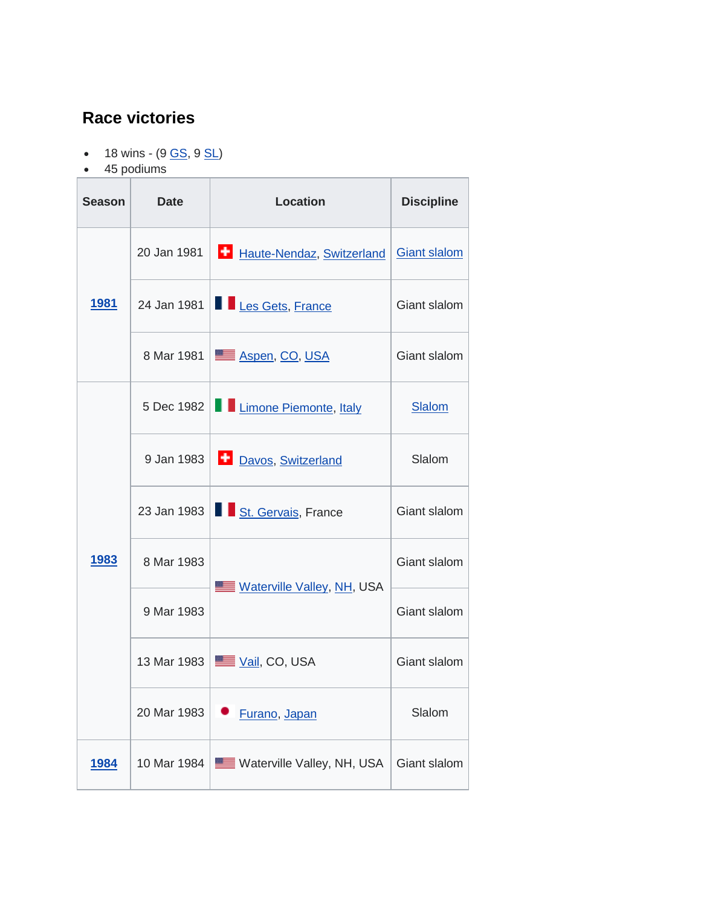#### **Race victories**

- $\bullet$  18 wins (9  $\underline{GS}$ , 9  $\underline{SL}$ )
- 45 podiums

| Season       | Date                                     | <b>Location</b>            | <b>Discipline</b>   |
|--------------|------------------------------------------|----------------------------|---------------------|
| <u> 1981</u> | Haute-Nendaz, Switzerland<br>20 Jan 1981 |                            | <b>Giant slalom</b> |
|              | 24 Jan 1981                              | Les Gets, France           | Giant slalom        |
|              | 8 Mar 1981                               | Aspen, CO, USA             | Giant slalom        |
|              | 5 Dec 1982<br>Limone Piemonte, Italy     |                            | <b>Slalom</b>       |
|              | 9 Jan 1983                               | Davos, Switzerland         | Slalom              |
|              | 23 Jan 1983                              | St. Gervais, France        | Giant slalom        |
| <u> 1983</u> | 8 Mar 1983                               | Waterville Valley, NH, USA | Giant slalom        |
|              | 9 Mar 1983                               |                            | Giant slalom        |
|              | 13 Mar 1983                              | <u>≣ Vail,</u> CO, USA     | Giant slalom        |
|              | 20 Mar 1983                              | Furano, Japan              |                     |
| <u>1984</u>  | 10 Mar 1984                              | Waterville Valley, NH, USA |                     |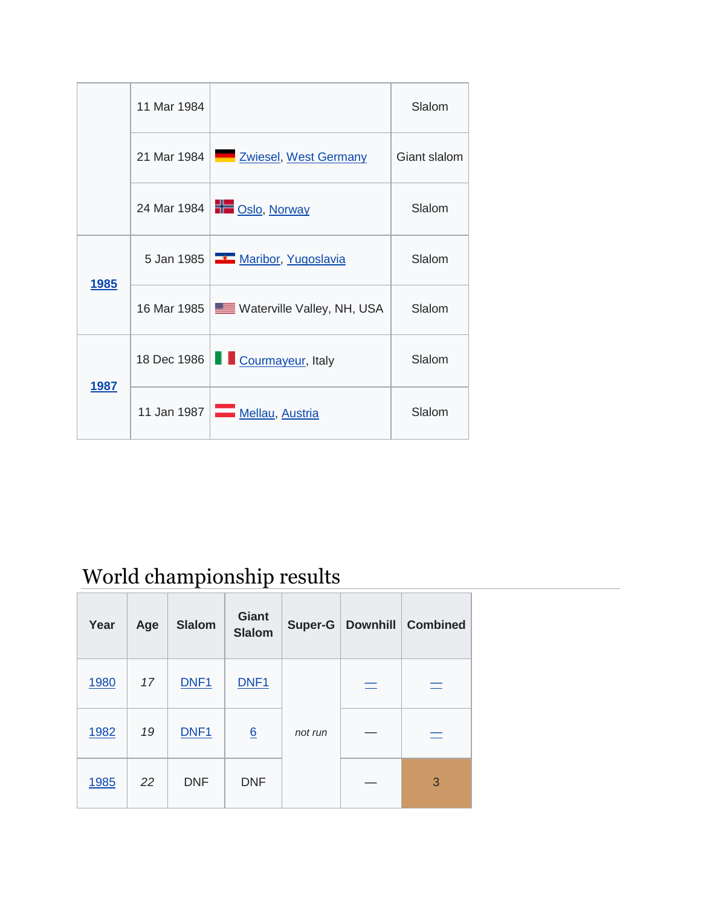|              | 11 Mar 1984                                |                                          | Slalom       |
|--------------|--------------------------------------------|------------------------------------------|--------------|
|              |                                            | 21 Mar 1984   Zwiesel, West Germany      | Giant slalom |
|              |                                            | 24 Mar 1984   <u>+ Oslo, Norway</u>      | Slalom       |
|              | 5 Jan 1985   <b>1 Maribor</b> , Yugoslavia |                                          | Slalom       |
| <u>1985</u>  |                                            | 16 Mar 1985   Waterville Valley, NH, USA | Slalom       |
|              |                                            | 18 Dec 1986   Courmayeur, Italy          |              |
| <u> 1987</u> | 11 Jan 1987 $\Box$                         | Mellau, Austria                          | Slalom       |

World championship results

| Year | Age | <b>Slalom</b>    | <b>Giant</b><br><b>Slalom</b> | <b>Super-G</b> |          | Downhill   Combined |
|------|-----|------------------|-------------------------------|----------------|----------|---------------------|
| 1980 | 17  | DNF1             | DNF <sub>1</sub>              |                | $\equiv$ | $\equiv$            |
| 1982 | 19  | DNF <sub>1</sub> | 6                             | not run        |          | $\equiv$            |
| 1985 | 22  | <b>DNF</b>       | <b>DNF</b>                    |                |          | 3                   |